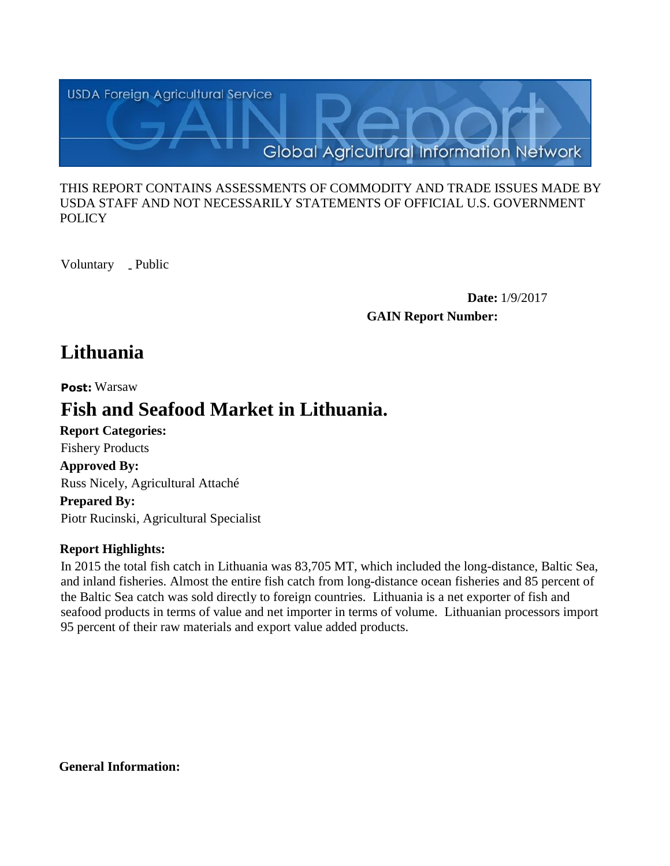

### THIS REPORT CONTAINS ASSESSMENTS OF COMMODITY AND TRADE ISSUES MADE BY USDA STAFF AND NOT NECESSARILY STATEMENTS OF OFFICIAL U.S. GOVERNMENT **POLICY**

Voluntary \_ Public

**Date:** 1/9/2017 **GAIN Report Number:**

# **Lithuania**

**Post:** Warsaw

# **Fish and Seafood Market in Lithuania.**

**Report Categories: Approved By: Prepared By:**  Russ Nicely, Agricultural Attaché Fishery Products

Piotr Rucinski, Agricultural Specialist

# **Report Highlights:**

In 2015 the total fish catch in Lithuania was 83,705 MT, which included the long-distance, Baltic Sea, and inland fisheries. Almost the entire fish catch from long-distance ocean fisheries and 85 percent of the Baltic Sea catch was sold directly to foreign countries. Lithuania is a net exporter of fish and seafood products in terms of value and net importer in terms of volume. Lithuanian processors import 95 percent of their raw materials and export value added products.

**General Information:**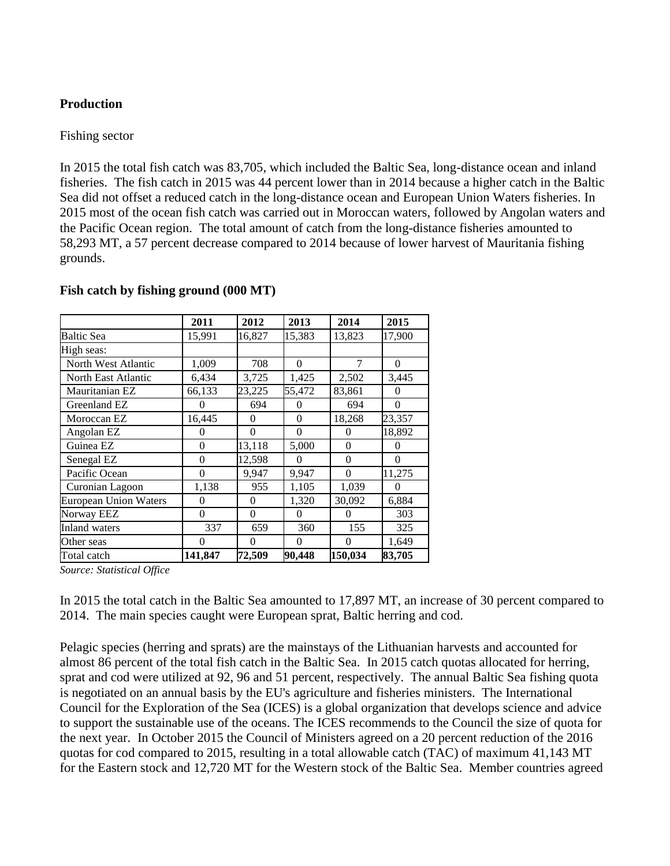### **Production**

#### Fishing sector

In 2015 the total fish catch was 83,705, which included the Baltic Sea, long-distance ocean and inland fisheries. The fish catch in 2015 was 44 percent lower than in 2014 because a higher catch in the Baltic Sea did not offset a reduced catch in the long-distance ocean and European Union Waters fisheries. In 2015 most of the ocean fish catch was carried out in Moroccan waters, followed by Angolan waters and the Pacific Ocean region. The total amount of catch from the long-distance fisheries amounted to 58,293 MT, a 57 percent decrease compared to 2014 because of lower harvest of Mauritania fishing grounds.

|                              | 2011     | 2012     | 2013     | 2014           | 2015     |
|------------------------------|----------|----------|----------|----------------|----------|
| Baltic Sea                   | 15,991   | 16,827   | 15,383   | 13,823         | 17,900   |
| High seas:                   |          |          |          |                |          |
| North West Atlantic          | 1,009    | 708      | $\Omega$ | $\overline{7}$ | $\Omega$ |
| North East Atlantic          | 6,434    | 3,725    | 1,425    | 2,502          | 3,445    |
| Mauritanian EZ               | 66,133   | 23,225   | 55,472   | 83,861         | $\theta$ |
| Greenland EZ                 | $\theta$ | 694      | $\Omega$ | 694            | $\Omega$ |
| Moroccan EZ                  | 16,445   | $\Omega$ | $\Omega$ | 18,268         | 23,357   |
| Angolan EZ                   | $\theta$ | 0        | $\Omega$ | $\theta$       | 18,892   |
| Guinea EZ                    | $\Omega$ | 13,118   | 5,000    | $\Omega$       | 0        |
| Senegal EZ                   | $\Omega$ | 12,598   | $\Omega$ | $\Omega$       | $\Omega$ |
| Pacific Ocean                | $\Omega$ | 9,947    | 9,947    | $\theta$       | 11,275   |
| Curonian Lagoon              | 1,138    | 955      | 1,105    | 1,039          | $\Omega$ |
| <b>European Union Waters</b> | $\Omega$ | $\Omega$ | 1,320    | 30,092         | 6,884    |
| Norway EEZ                   | $\theta$ | $\Omega$ | $\Omega$ | $\Omega$       | 303      |
| <b>Inland</b> waters         | 337      | 659      | 360      | 155            | 325      |
| Other seas                   | $\Omega$ | 0        | $\Omega$ | $\Omega$       | 1,649    |
| Total catch                  | 141,847  | 72,509   | 90,448   | 150,034        | 83,705   |

#### **Fish catch by fishing ground (000 MT)**

*Source: Statistical Office*

In 2015 the total catch in the Baltic Sea amounted to 17,897 MT, an increase of 30 percent compared to 2014. The main species caught were European sprat, Baltic herring and cod.

Pelagic species (herring and sprats) are the mainstays of the Lithuanian harvests and accounted for almost 86 percent of the total fish catch in the Baltic Sea. In 2015 catch quotas allocated for herring, sprat and cod were utilized at 92, 96 and 51 percent, respectively. The annual Baltic Sea fishing quota is negotiated on an annual basis by the EU's agriculture and fisheries ministers. The International Council for the Exploration of the Sea (ICES) is a global organization that develops science and advice to support the sustainable use of the oceans. The ICES recommends to the Council the size of quota for the next year. In October 2015 the Council of Ministers agreed on a 20 percent reduction of the 2016 quotas for cod compared to 2015, resulting in a total allowable catch (TAC) of maximum 41,143 MT for the Eastern stock and 12,720 MT for the Western stock of the Baltic Sea. Member countries agreed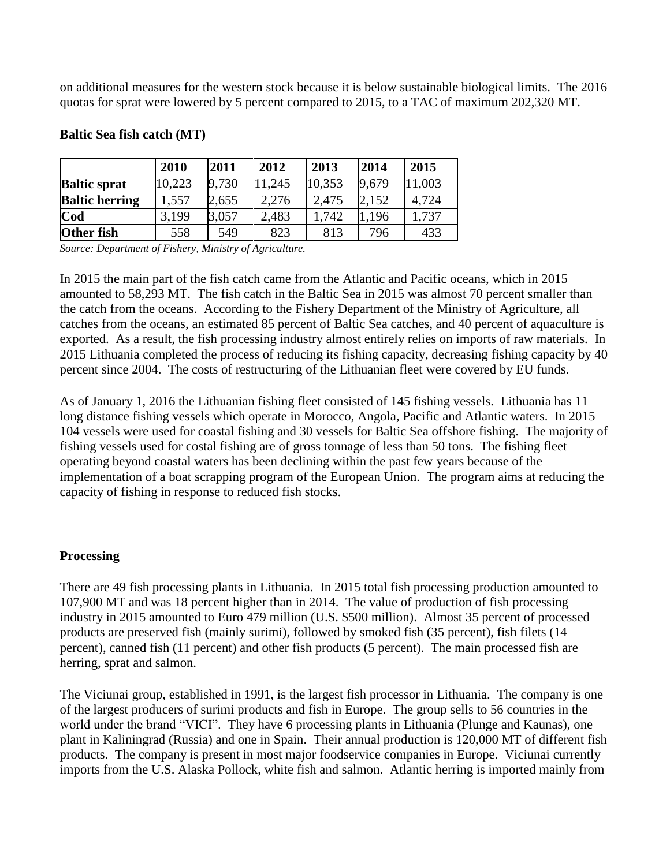on additional measures for the western stock because it is below sustainable biological limits. The 2016 quotas for sprat were lowered by 5 percent compared to 2015, to a TAC of maximum 202,320 MT.

|                       | 2010   | 2011  | 2012   | 2013   | 2014  | 2015   |
|-----------------------|--------|-------|--------|--------|-------|--------|
| <b>Baltic sprat</b>   | 10,223 | 9,730 | 11,245 | 10,353 | 9,679 | 11,003 |
| <b>Baltic herring</b> | 1,557  | 2,655 | 2,276  | 2,475  | 2,152 | 4,724  |
| Cod                   | 3,199  | 3,057 | 2,483  | 1.742  | 1.196 | 1,737  |
| Other fish            | 558    | 549   | 823    | 813    | 796   | 433    |

### **Baltic Sea fish catch (MT)**

*Source: Department of Fishery, Ministry of Agriculture.*

In 2015 the main part of the fish catch came from the Atlantic and Pacific oceans, which in 2015 amounted to 58,293 MT. The fish catch in the Baltic Sea in 2015 was almost 70 percent smaller than the catch from the oceans. According to the Fishery Department of the Ministry of Agriculture, all catches from the oceans, an estimated 85 percent of Baltic Sea catches, and 40 percent of aquaculture is exported. As a result, the fish processing industry almost entirely relies on imports of raw materials. In 2015 Lithuania completed the process of reducing its fishing capacity, decreasing fishing capacity by 40 percent since 2004. The costs of restructuring of the Lithuanian fleet were covered by EU funds.

As of January 1, 2016 the Lithuanian fishing fleet consisted of 145 fishing vessels. Lithuania has 11 long distance fishing vessels which operate in Morocco, Angola, Pacific and Atlantic waters. In 2015 104 vessels were used for coastal fishing and 30 vessels for Baltic Sea offshore fishing. The majority of fishing vessels used for costal fishing are of gross tonnage of less than 50 tons. The fishing fleet operating beyond coastal waters has been declining within the past few years because of the implementation of a boat scrapping program of the European Union. The program aims at reducing the capacity of fishing in response to reduced fish stocks.

#### **Processing**

There are 49 fish processing plants in Lithuania. In 2015 total fish processing production amounted to 107,900 MT and was 18 percent higher than in 2014. The value of production of fish processing industry in 2015 amounted to Euro 479 million (U.S. \$500 million). Almost 35 percent of processed products are preserved fish (mainly surimi), followed by smoked fish (35 percent), fish filets (14 percent), canned fish (11 percent) and other fish products (5 percent). The main processed fish are herring, sprat and salmon.

The Viciunai group, established in 1991, is the largest fish processor in Lithuania. The company is one of the largest producers of surimi products and fish in Europe. The group sells to 56 countries in the world under the brand "VICI". They have 6 processing plants in Lithuania (Plunge and Kaunas), one plant in Kaliningrad (Russia) and one in Spain. Their annual production is 120,000 MT of different fish products. The company is present in most major foodservice companies in Europe. Viciunai currently imports from the U.S. Alaska Pollock, white fish and salmon. Atlantic herring is imported mainly from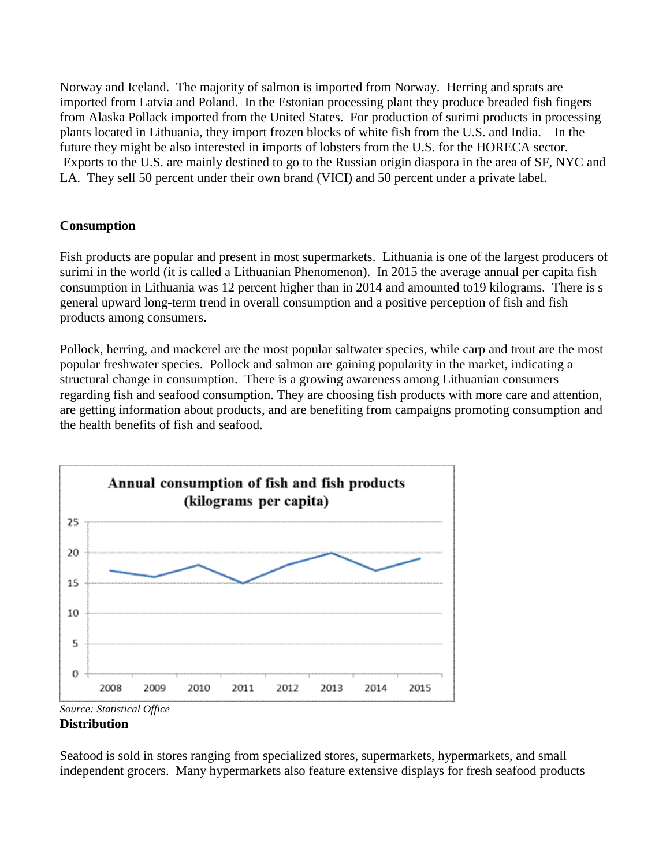Norway and Iceland. The majority of salmon is imported from Norway. Herring and sprats are imported from Latvia and Poland. In the Estonian processing plant they produce breaded fish fingers from Alaska Pollack imported from the United States. For production of surimi products in processing plants located in Lithuania, they import frozen blocks of white fish from the U.S. and India. In the future they might be also interested in imports of lobsters from the U.S. for the HORECA sector. Exports to the U.S. are mainly destined to go to the Russian origin diaspora in the area of SF, NYC and LA. They sell 50 percent under their own brand (VICI) and 50 percent under a private label.

# **Consumption**

Fish products are popular and present in most supermarkets. Lithuania is one of the largest producers of surimi in the world (it is called a Lithuanian Phenomenon). In 2015 the average annual per capita fish consumption in Lithuania was 12 percent higher than in 2014 and amounted to19 kilograms. There is s general upward long-term trend in overall consumption and a positive perception of fish and fish products among consumers.

Pollock, herring, and mackerel are the most popular saltwater species, while carp and trout are the most popular freshwater species. Pollock and salmon are gaining popularity in the market, indicating a structural change in consumption. There is a growing awareness among Lithuanian consumers regarding fish and seafood consumption. They are choosing fish products with more care and attention, are getting information about products, and are benefiting from campaigns promoting consumption and the health benefits of fish and seafood.



#### **Distribution**

Seafood is sold in stores ranging from specialized stores, supermarkets, hypermarkets, and small independent grocers. Many hypermarkets also feature extensive displays for fresh seafood products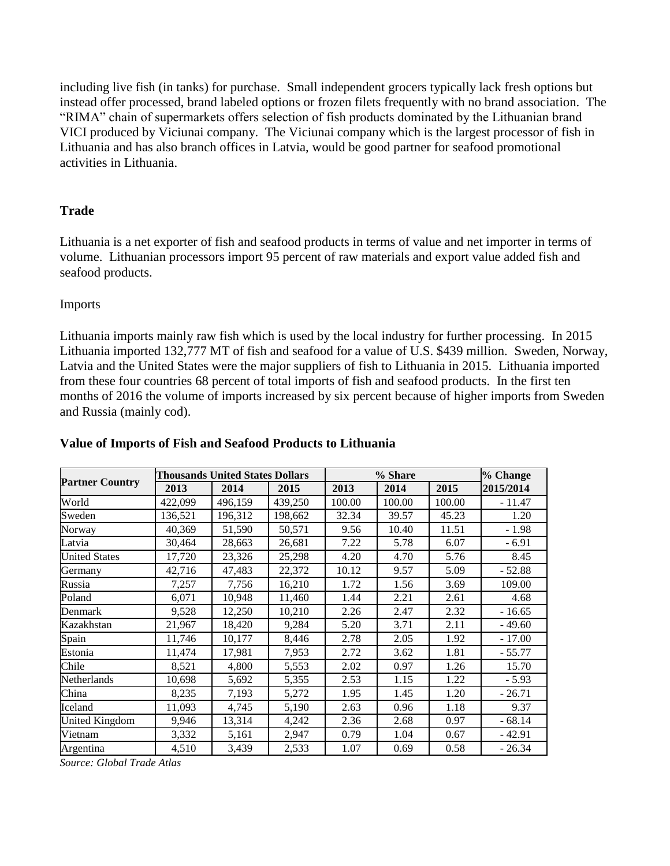including live fish (in tanks) for purchase. Small independent grocers typically lack fresh options but instead offer processed, brand labeled options or frozen filets frequently with no brand association. The "RIMA" chain of supermarkets offers selection of fish products dominated by the Lithuanian brand VICI produced by Viciunai company. The Viciunai company which is the largest processor of fish in Lithuania and has also branch offices in Latvia, would be good partner for seafood promotional activities in Lithuania.

# **Trade**

Lithuania is a net exporter of fish and seafood products in terms of value and net importer in terms of volume. Lithuanian processors import 95 percent of raw materials and export value added fish and seafood products.

#### Imports

Lithuania imports mainly raw fish which is used by the local industry for further processing. In 2015 Lithuania imported 132,777 MT of fish and seafood for a value of U.S. \$439 million. Sweden, Norway, Latvia and the United States were the major suppliers of fish to Lithuania in 2015. Lithuania imported from these four countries 68 percent of total imports of fish and seafood products. In the first ten months of 2016 the volume of imports increased by six percent because of higher imports from Sweden and Russia (mainly cod).

|                        |         | <b>Thousands United States Dollars</b> |         |        | % Share |        | % Change  |
|------------------------|---------|----------------------------------------|---------|--------|---------|--------|-----------|
| <b>Partner Country</b> | 2013    | 2014                                   | 2015    | 2013   | 2014    | 2015   | 2015/2014 |
| World                  | 422,099 | 496,159                                | 439,250 | 100.00 | 100.00  | 100.00 | $-11.47$  |
| Sweden                 | 136,521 | 196,312                                | 198,662 | 32.34  | 39.57   | 45.23  | 1.20      |
| Norway                 | 40,369  | 51,590                                 | 50,571  | 9.56   | 10.40   | 11.51  | $-1.98$   |
| Latvia                 | 30,464  | 28,663                                 | 26,681  | 7.22   | 5.78    | 6.07   | $-6.91$   |
| <b>United States</b>   | 17,720  | 23,326                                 | 25,298  | 4.20   | 4.70    | 5.76   | 8.45      |
| Germany                | 42,716  | 47,483                                 | 22,372  | 10.12  | 9.57    | 5.09   | $-52.88$  |
| Russia                 | 7,257   | 7,756                                  | 16,210  | 1.72   | 1.56    | 3.69   | 109.00    |
| Poland                 | 6,071   | 10,948                                 | 11,460  | 1.44   | 2.21    | 2.61   | 4.68      |
| Denmark                | 9,528   | 12,250                                 | 10,210  | 2.26   | 2.47    | 2.32   | $-16.65$  |
| Kazakhstan             | 21,967  | 18,420                                 | 9,284   | 5.20   | 3.71    | 2.11   | $-49.60$  |
| Spain                  | 11,746  | 10,177                                 | 8,446   | 2.78   | 2.05    | 1.92   | $-17.00$  |
| Estonia                | 11,474  | 17,981                                 | 7,953   | 2.72   | 3.62    | 1.81   | $-55.77$  |
| Chile                  | 8,521   | 4,800                                  | 5,553   | 2.02   | 0.97    | 1.26   | 15.70     |
| Netherlands            | 10,698  | 5,692                                  | 5,355   | 2.53   | 1.15    | 1.22   | $-5.93$   |
| China                  | 8,235   | 7,193                                  | 5,272   | 1.95   | 1.45    | 1.20   | $-26.71$  |
| Iceland                | 11,093  | 4,745                                  | 5,190   | 2.63   | 0.96    | 1.18   | 9.37      |
| United Kingdom         | 9,946   | 13,314                                 | 4,242   | 2.36   | 2.68    | 0.97   | $-68.14$  |
| Vietnam                | 3,332   | 5,161                                  | 2,947   | 0.79   | 1.04    | 0.67   | $-42.91$  |
| Argentina              | 4,510   | 3,439                                  | 2,533   | 1.07   | 0.69    | 0.58   | $-26.34$  |

#### **Value of Imports of Fish and Seafood Products to Lithuania**

*Source: Global Trade Atlas*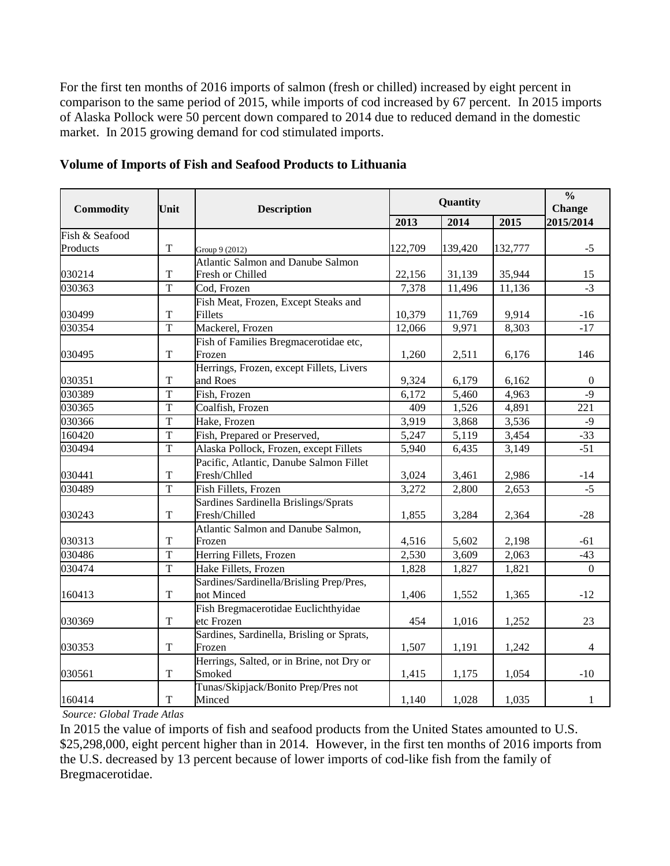For the first ten months of 2016 imports of salmon (fresh or chilled) increased by eight percent in comparison to the same period of 2015, while imports of cod increased by 67 percent. In 2015 imports of Alaska Pollock were 50 percent down compared to 2014 due to reduced demand in the domestic market. In 2015 growing demand for cod stimulated imports.

| <b>Commodity</b> | Unit           | <b>Description</b>                        |                    | Quantity |         |                |
|------------------|----------------|-------------------------------------------|--------------------|----------|---------|----------------|
|                  |                |                                           | 2013               | 2014     | 2015    | 2015/2014      |
| Fish & Seafood   |                |                                           |                    |          |         |                |
| Products         | $\mathbf T$    | Group 9 (2012)                            | 122,709            | 139,420  | 132,777 | $-5$           |
|                  |                | <b>Atlantic Salmon and Danube Salmon</b>  |                    |          |         |                |
| 030214           | $\mathbf T$    | Fresh or Chilled                          | 22,156             | 31,139   | 35,944  | 15             |
| 030363           | $\overline{T}$ | Cod, Frozen                               | 7,378              | 11,496   | 11,136  | $-3$           |
|                  |                | Fish Meat, Frozen, Except Steaks and      |                    |          |         |                |
| 030499           | $\mathbf T$    | Fillets                                   | 10,379             | 11,769   | 9,914   | $-16$          |
| 030354           | $\overline{T}$ | Mackerel, Frozen                          | 12,066             | 9,971    | 8,303   | $-17$          |
|                  |                | Fish of Families Bregmacerotidae etc,     |                    |          |         |                |
| 030495           | $\mathbf T$    | Frozen                                    | 1,260              | 2,511    | 6,176   | 146            |
|                  |                | Herrings, Frozen, except Fillets, Livers  |                    |          |         |                |
| 030351           | T              | and Roes                                  | 9,324              | 6,179    | 6,162   | 0              |
| 030389           | $\overline{T}$ | Fish, Frozen                              | 6,172              | 5,460    | 4,963   | $-9$           |
| 030365           | $\overline{T}$ | Coalfish, Frozen                          | 409                | 1,526    | 4,891   | 221            |
| 030366           | $\overline{T}$ | Hake, Frozen                              | $\overline{3,919}$ | 3,868    | 3,536   | $-9$           |
| 160420           | $\mathbf T$    | Fish, Prepared or Preserved,              | 5,247              | 5,119    | 3,454   | $-33$          |
| 030494           | $\mathbf T$    | Alaska Pollock, Frozen, except Fillets    | 5,940              | 6,435    | 3,149   | $-51$          |
|                  |                | Pacific, Atlantic, Danube Salmon Fillet   |                    |          |         |                |
| 030441           | $\mathbf T$    | Fresh/Chlled                              | 3,024              | 3,461    | 2,986   | $-14$          |
| 030489           | $\overline{T}$ | Fish Fillets, Frozen                      | 3,272              | 2,800    | 2,653   | $-5$           |
|                  |                | Sardines Sardinella Brislings/Sprats      |                    |          |         |                |
| 030243           | $\mathbf T$    | Fresh/Chilled                             | 1,855              | 3,284    | 2,364   | $-28$          |
|                  |                | Atlantic Salmon and Danube Salmon,        |                    |          |         |                |
| 030313           | $\mathbf T$    | Frozen                                    | 4,516              | 5,602    | 2,198   | $-61$          |
| 030486           | $\overline{T}$ | Herring Fillets, Frozen                   | 2,530              | 3,609    | 2,063   | $-43$          |
| 030474           | $\overline{T}$ | Hake Fillets, Frozen                      | 1,828              | 1,827    | 1,821   | $\mathbf{0}$   |
|                  |                | Sardines/Sardinella/Brisling Prep/Pres,   |                    |          |         |                |
| 160413           | $\mathbf T$    | not Minced                                | 1,406              | 1,552    | 1,365   | $-12$          |
|                  |                | Fish Bregmacerotidae Euclichthyidae       |                    |          |         |                |
| 030369           | $\mathbf T$    | etc Frozen                                | 454                | 1,016    | 1,252   | 23             |
|                  |                | Sardines, Sardinella, Brisling or Sprats, |                    |          |         |                |
| 030353           | $\mathbf T$    | Frozen                                    | 1,507              | 1,191    | 1,242   | $\overline{4}$ |
|                  |                | Herrings, Salted, or in Brine, not Dry or |                    |          |         |                |
| 030561           | $\mathbf T$    | Smoked                                    | 1,415              | 1,175    | 1,054   | $-10$          |
|                  |                | Tunas/Skipjack/Bonito Prep/Pres not       |                    |          |         |                |
| 160414           | $\mathbf T$    | Minced                                    | 1,140              | 1,028    | 1,035   | 1              |

**Volume of Imports of Fish and Seafood Products to Lithuania**

*Source: Global Trade Atlas*

In 2015 the value of imports of fish and seafood products from the United States amounted to U.S. \$25,298,000, eight percent higher than in 2014. However, in the first ten months of 2016 imports from the U.S. decreased by 13 percent because of lower imports of cod-like fish from the family of Bregmacerotidae.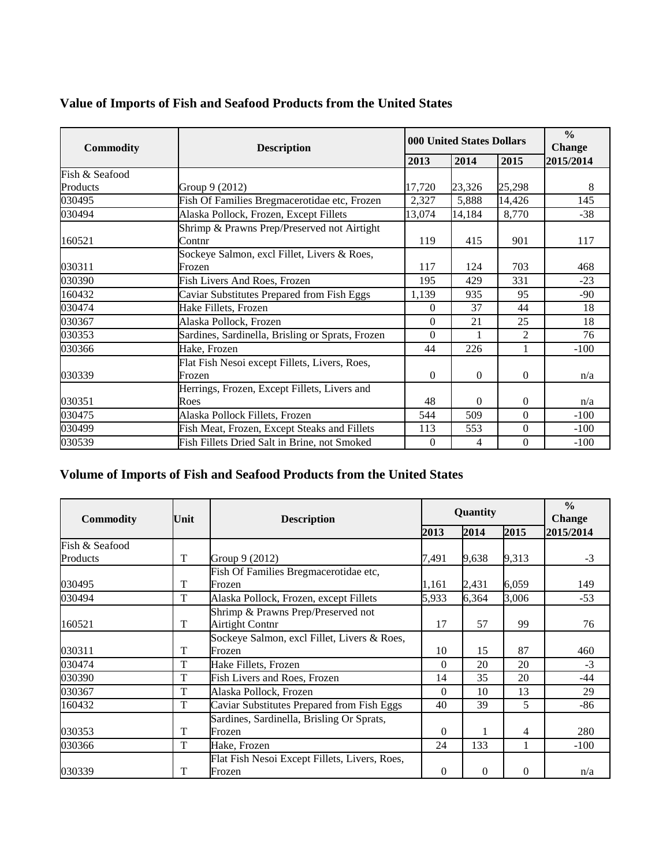|  |  | Value of Imports of Fish and Seafood Products from the United States |
|--|--|----------------------------------------------------------------------|
|  |  |                                                                      |

| <b>Commodity</b> | <b>Description</b>                                      |          | <b>000 United States Dollars</b> |                                                                                                                                                                                                                                  |           |
|------------------|---------------------------------------------------------|----------|----------------------------------|----------------------------------------------------------------------------------------------------------------------------------------------------------------------------------------------------------------------------------|-----------|
|                  |                                                         | 2013     | 2014                             | 2015<br>25,298<br>5,888<br>14,426<br>8,770<br>901<br>415<br>703<br>124<br>331<br>429<br>95<br>935<br>37<br>44<br>21<br>25<br>2<br>226<br>1<br>$\Omega$<br>$\Omega$<br>$\Omega$<br>$\Omega$<br>$\Omega$<br>509<br>$\Omega$<br>553 | 2015/2014 |
| Fish & Seafood   |                                                         |          |                                  |                                                                                                                                                                                                                                  |           |
| Products         | Group 9 (2012)                                          | 17,720   | 23,326                           |                                                                                                                                                                                                                                  | 8         |
| 030495           | Fish Of Families Bregmacerotidae etc, Frozen            | 2,327    |                                  |                                                                                                                                                                                                                                  | 145       |
| 030494           | Alaska Pollock, Frozen, Except Fillets                  | 13,074   | 14,184                           |                                                                                                                                                                                                                                  | $-38$     |
|                  | Shrimp & Prawns Prep/Preserved not Airtight<br>Contnr   | 119      |                                  |                                                                                                                                                                                                                                  | 117       |
| 160521           |                                                         |          |                                  |                                                                                                                                                                                                                                  |           |
| 030311           | Sockeye Salmon, excl Fillet, Livers & Roes,<br>Frozen   | 117      |                                  |                                                                                                                                                                                                                                  | 468       |
| 030390           | Fish Livers And Roes, Frozen                            | 195      |                                  |                                                                                                                                                                                                                                  | $-23$     |
| 160432           | Caviar Substitutes Prepared from Fish Eggs              | 1,139    |                                  |                                                                                                                                                                                                                                  | $-90$     |
| 030474           | Hake Fillets, Frozen                                    | $\Omega$ |                                  |                                                                                                                                                                                                                                  | 18        |
| 030367           | Alaska Pollock, Frozen                                  | $\theta$ |                                  |                                                                                                                                                                                                                                  | 18        |
| 030353           | Sardines, Sardinella, Brisling or Sprats, Frozen        | $\theta$ |                                  |                                                                                                                                                                                                                                  | 76        |
| 030366           | Hake, Frozen                                            | 44       |                                  |                                                                                                                                                                                                                                  | $-100$    |
| 030339           | Flat Fish Nesoi except Fillets, Livers, Roes,<br>Frozen | $\theta$ |                                  |                                                                                                                                                                                                                                  | n/a       |
|                  | Herrings, Frozen, Except Fillets, Livers and            |          |                                  |                                                                                                                                                                                                                                  |           |
| 030351           | Roes                                                    | 48       |                                  |                                                                                                                                                                                                                                  | n/a       |
| 030475           | Alaska Pollock Fillets, Frozen                          | 544      |                                  |                                                                                                                                                                                                                                  | $-100$    |
| 030499           | Fish Meat, Frozen, Except Steaks and Fillets            | 113      |                                  |                                                                                                                                                                                                                                  | $-100$    |
| 030539           | Fish Fillets Dried Salt in Brine, not Smoked            | $\theta$ | 4                                | $\mathbf{0}$                                                                                                                                                                                                                     | $-100$    |

# **Volume of Imports of Fish and Seafood Products from the United States**

| <b>Commodity</b> | Unit | <b>Description</b>                                           |          | Quantity | $\frac{0}{0}$<br><b>Change</b> |           |
|------------------|------|--------------------------------------------------------------|----------|----------|--------------------------------|-----------|
|                  |      |                                                              | 2013     | 2014     | 2015                           | 2015/2014 |
| Fish & Seafood   |      |                                                              |          |          |                                |           |
| Products         | T    | Group 9 (2012)                                               | 7.491    | 9,638    | 9,313                          | $-3$      |
| 030495           | T    | Fish Of Families Bregmacerotidae etc,<br>Frozen              | 1,161    | 2,431    | 6,059                          | 149       |
| 030494           | T    | Alaska Pollock, Frozen, except Fillets                       | 5,933    | 6,364    | 3,006                          | $-53$     |
| 160521           | T    | Shrimp & Prawns Prep/Preserved not<br><b>Airtight Contnr</b> | 17       | 57       | 99                             | 76        |
| 030311           | T    | Sockeye Salmon, excl Fillet, Livers & Roes,<br>Frozen        | 10       | 15       | 87                             | 460       |
| 030474           | T    | Hake Fillets, Frozen                                         | 0        | 20       | 20                             | $-3$      |
| 030390           | T    | Fish Livers and Roes, Frozen                                 | 14       | 35       | 20                             | $-44$     |
| 030367           | T    | Alaska Pollock, Frozen                                       | $\Omega$ | 10       | 13                             | 29        |
| 160432           | T    | Caviar Substitutes Prepared from Fish Eggs                   | 40       | 39       | 5                              | -86       |
| 030353           | T    | Sardines, Sardinella, Brisling Or Sprats,<br>Frozen          | $\Omega$ |          | 4                              | 280       |
| 030366           | T    | Hake, Frozen                                                 | 24       | 133      | 1                              | $-100$    |
| 030339           | T    | Flat Fish Nesoi Except Fillets, Livers, Roes,<br>Frozen      | $\Omega$ | $\Omega$ | $\Omega$                       | n/a       |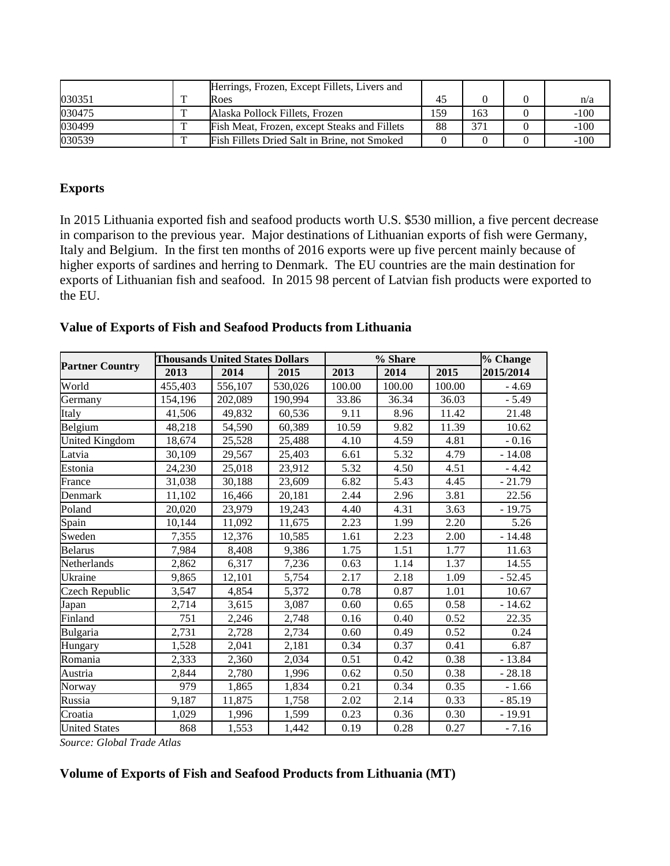|        |              | Herrings, Frozen, Except Fillets, Livers and |     |      |        |
|--------|--------------|----------------------------------------------|-----|------|--------|
| 030351 |              | Roes                                         | 45  |      | n/a    |
| 030475 |              | Alaska Pollock Fillets, Frozen               | 59ء | (63) | $-100$ |
| 030499 | $\mathbf{r}$ | Fish Meat, Frozen, except Steaks and Fillets | 88  | 371  | $-100$ |
| 030539 | m            | Fish Fillets Dried Salt in Brine, not Smoked |     |      | $-100$ |

# **Exports**

In 2015 Lithuania exported fish and seafood products worth U.S. \$530 million, a five percent decrease in comparison to the previous year. Major destinations of Lithuanian exports of fish were Germany, Italy and Belgium. In the first ten months of 2016 exports were up five percent mainly because of higher exports of sardines and herring to Denmark. The EU countries are the main destination for exports of Lithuanian fish and seafood. In 2015 98 percent of Latvian fish products were exported to the EU.

|                              |         | Thousands United States Dollars |         |        | % Share |        | % Change  |
|------------------------------|---------|---------------------------------|---------|--------|---------|--------|-----------|
| <b>Partner Country</b>       | 2013    | 2014                            | 2015    | 2013   | 2014    | 2015   | 2015/2014 |
| World                        | 455,403 | 556,107                         | 530,026 | 100.00 | 100.00  | 100.00 | $-4.69$   |
| Germany                      | 154.196 | 202,089                         | 190,994 | 33.86  | 36.34   | 36.03  | $-5.49$   |
| Italy                        | 41,506  | 49.832                          | 60.536  | 9.11   | 8.96    | 11.42  | 21.48     |
| $\mathbf{R}\mathbf{a}$ laium | 18.218  | 54.500                          | 60.380  | 10.50  | $Q$ $Q$ | 11 20  | 10.62     |

| Value of Exports of Fish and Seafood Products from Lithuania |  |  |  |
|--------------------------------------------------------------|--|--|--|
|--------------------------------------------------------------|--|--|--|

|                              | 2013    | 2014    | 2015    | 2013   | 2014   | 2015   | 2015/2014 |
|------------------------------|---------|---------|---------|--------|--------|--------|-----------|
| World                        | 455,403 | 556,107 | 530,026 | 100.00 | 100.00 | 100.00 | $-4.69$   |
| Germany                      | 154,196 | 202,089 | 190,994 | 33.86  | 36.34  | 36.03  | $-5.49$   |
| Italy                        | 41,506  | 49,832  | 60,536  | 9.11   | 8.96   | 11.42  | 21.48     |
| Belgium                      | 48,218  | 54,590  | 60,389  | 10.59  | 9.82   | 11.39  | 10.62     |
| United Kingdom               | 18,674  | 25,528  | 25,488  | 4.10   | 4.59   | 4.81   | $-0.16$   |
| Latvia                       | 30,109  | 29,567  | 25,403  | 6.61   | 5.32   | 4.79   | $-14.08$  |
| Estonia                      | 24,230  | 25,018  | 23,912  | 5.32   | 4.50   | 4.51   | $-4.42$   |
| France                       | 31,038  | 30,188  | 23,609  | 6.82   | 5.43   | 4.45   | $-21.79$  |
| Denmark                      | 11,102  | 16,466  | 20,181  | 2.44   | 2.96   | 3.81   | 22.56     |
| Poland                       | 20,020  | 23,979  | 19,243  | 4.40   | 4.31   | 3.63   | $-19.75$  |
| Spain                        | 10,144  | 11,092  | 11,675  | 2.23   | 1.99   | 2.20   | 5.26      |
| Sweden                       | 7,355   | 12,376  | 10,585  | 1.61   | 2.23   | 2.00   | $-14.48$  |
| <b>Belarus</b>               | 7,984   | 8,408   | 9,386   | 1.75   | 1.51   | 1.77   | 11.63     |
| Netherlands                  | 2,862   | 6,317   | 7,236   | 0.63   | 1.14   | 1.37   | 14.55     |
| Ukraine                      | 9,865   | 12,101  | 5,754   | 2.17   | 2.18   | 1.09   | $-52.45$  |
| Czech Republic               | 3,547   | 4,854   | 5,372   | 0.78   | 0.87   | 1.01   | 10.67     |
| Japan                        | 2,714   | 3,615   | 3,087   | 0.60   | 0.65   | 0.58   | $-14.62$  |
| Finland                      | 751     | 2,246   | 2,748   | 0.16   | 0.40   | 0.52   | 22.35     |
| <b>Bulgaria</b>              | 2,731   | 2,728   | 2,734   | 0.60   | 0.49   | 0.52   | 0.24      |
| Hungary                      | 1,528   | 2,041   | 2,181   | 0.34   | 0.37   | 0.41   | 6.87      |
| Romania                      | 2,333   | 2,360   | 2,034   | 0.51   | 0.42   | 0.38   | $-13.84$  |
| Austria                      | 2,844   | 2,780   | 1,996   | 0.62   | 0.50   | 0.38   | $-28.18$  |
| Norway                       | 979     | 1,865   | 1,834   | 0.21   | 0.34   | 0.35   | $-1.66$   |
| Russia                       | 9,187   | 11,875  | 1,758   | 2.02   | 2.14   | 0.33   | $-85.19$  |
| Croatia                      | 1,029   | 1,996   | 1,599   | 0.23   | 0.36   | 0.30   | $-19.91$  |
| <b>United States</b>         | 868     | 1,553   | 1,442   | 0.19   | 0.28   | 0.27   | $-7.16$   |
| $Soumax Cl chol Tu dl dl dl$ |         |         |         |        |        |        |           |

*Source: Global Trade Atlas*

# **Volume of Exports of Fish and Seafood Products from Lithuania (MT)**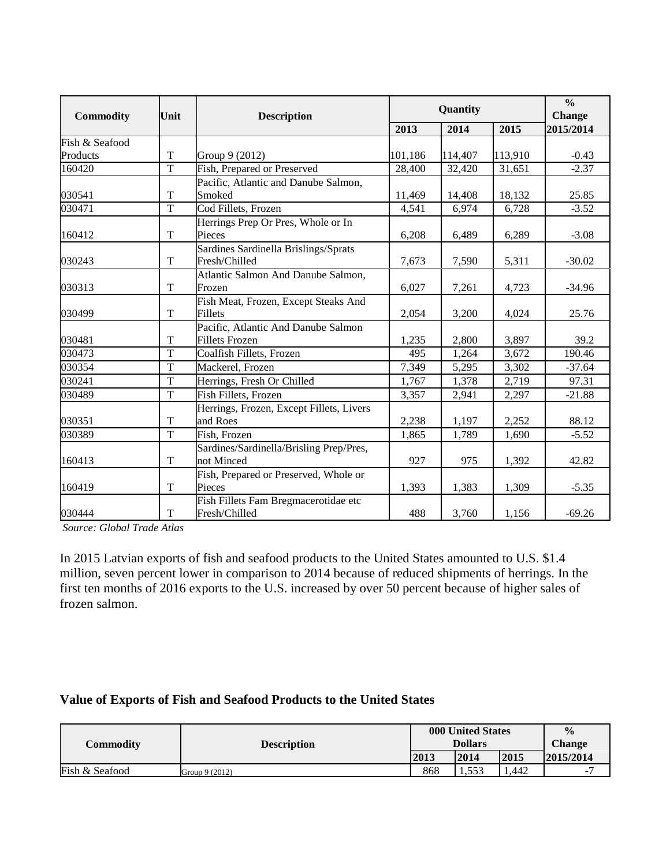| <b>Commodity</b> | Unit           | <b>Description</b>                       |         | Quantity |         |           |  |
|------------------|----------------|------------------------------------------|---------|----------|---------|-----------|--|
|                  |                |                                          | 2013    | 2014     | 2015    | 2015/2014 |  |
| Fish & Seafood   |                |                                          |         |          |         |           |  |
| Products         | $\mathbf T$    | Group 9 (2012)                           | 101,186 | 114,407  | 113,910 | $-0.43$   |  |
| 160420           | $\overline{T}$ | Fish, Prepared or Preserved              | 28,400  | 32,420   | 31,651  | $-2.37$   |  |
|                  |                | Pacific, Atlantic and Danube Salmon,     |         |          |         |           |  |
| 030541           | T              | Smoked                                   | 11,469  | 14,408   | 18,132  | 25.85     |  |
| 030471           | $\overline{T}$ | Cod Fillets, Frozen                      | 4,541   | 6,974    | 6,728   | $-3.52$   |  |
|                  |                | Herrings Prep Or Pres, Whole or In       |         |          |         |           |  |
| 160412           | T              | Pieces                                   | 6,208   | 6,489    | 6,289   | $-3.08$   |  |
|                  |                | Sardines Sardinella Brislings/Sprats     |         |          |         |           |  |
| 030243           | T              | Fresh/Chilled                            | 7,673   | 7,590    | 5,311   | $-30.02$  |  |
|                  |                | Atlantic Salmon And Danube Salmon,       |         |          |         |           |  |
| 030313           | $\mathbf T$    | Frozen                                   | 6,027   | 7,261    | 4,723   | $-34.96$  |  |
|                  |                | Fish Meat, Frozen, Except Steaks And     |         |          |         |           |  |
| 030499           | T              | <b>Fillets</b>                           | 2,054   | 3,200    | 4,024   | 25.76     |  |
|                  |                | Pacific, Atlantic And Danube Salmon      |         |          |         |           |  |
| 030481           | T              | <b>Fillets Frozen</b>                    | 1,235   | 2,800    | 3,897   | 39.2      |  |
| 030473           | T              | Coalfish Fillets, Frozen                 | 495     | 1,264    | 3,672   | 190.46    |  |
| 030354           | $\overline{T}$ | Mackerel, Frozen                         | 7,349   | 5,295    | 3,302   | $-37.64$  |  |
| 030241           | T              | Herrings, Fresh Or Chilled               | 1,767   | 1,378    | 2,719   | 97.31     |  |
| 030489           | T              | Fish Fillets, Frozen                     | 3,357   | 2,941    | 2,297   | $-21.88$  |  |
|                  |                | Herrings, Frozen, Except Fillets, Livers |         |          |         |           |  |
| 030351           | T              | and Roes                                 | 2,238   | 1,197    | 2,252   | 88.12     |  |
| 030389           | $\overline{T}$ | Fish, Frozen                             | 1,865   | 1,789    | 1,690   | $-5.52$   |  |
|                  |                | Sardines/Sardinella/Brisling Prep/Pres,  |         |          |         |           |  |
| 160413           | $\mathbf T$    | not Minced                               | 927     | 975      | 1,392   | 42.82     |  |
|                  |                | Fish, Prepared or Preserved, Whole or    |         |          |         |           |  |
| 160419           | T              | Pieces                                   | 1,393   | 1,383    | 1,309   | $-5.35$   |  |
|                  |                | Fish Fillets Fam Bregmacerotidae etc     |         |          |         |           |  |
| 030444           | $\mathbf T$    | Fresh/Chilled                            | 488     | 3,760    | 1,156   | $-69.26$  |  |

*Source: Global Trade Atlas*

In 2015 Latvian exports of fish and seafood products to the United States amounted to U.S. \$1.4 million, seven percent lower in comparison to 2014 because of reduced shipments of herrings. In the first ten months of 2016 exports to the U.S. increased by over 50 percent because of higher sales of frozen salmon.

# **Value of Exports of Fish and Seafood Products to the United States**

|                | <b>Description</b> | 000 United States |       |      | $\frac{0}{0}$ |
|----------------|--------------------|-------------------|-------|------|---------------|
| Commodity      |                    | <b>Dollars</b>    |       |      | <b>Change</b> |
|                |                    | 2013              | 2014  | 2015 | 2015/2014     |
| Fish & Seafood | Group 9 (2012)     | 868               | 1.553 | .442 | -             |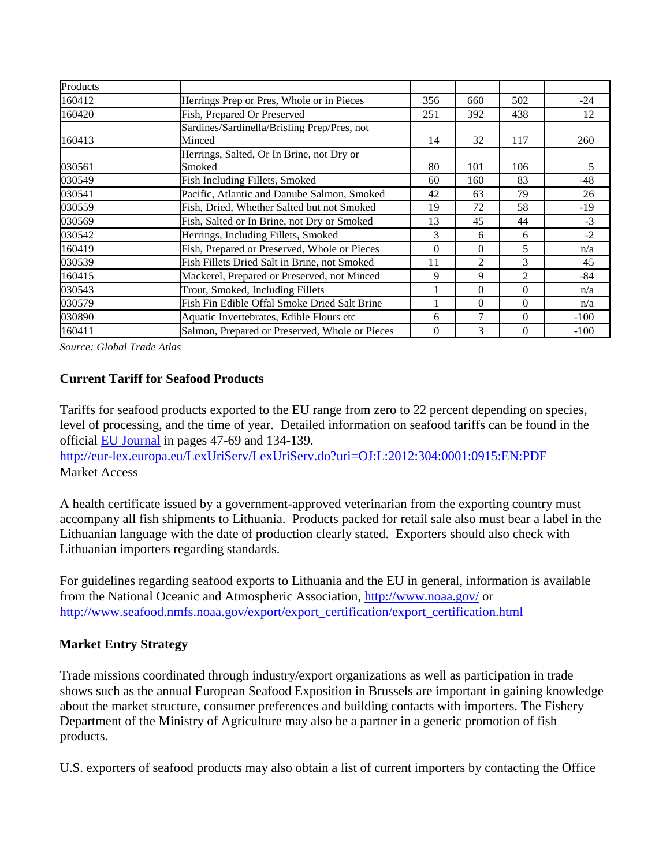| Products |                                                     |     |          |          |        |
|----------|-----------------------------------------------------|-----|----------|----------|--------|
| 160412   | Herrings Prep or Pres, Whole or in Pieces           | 356 | 660      | 502      | $-24$  |
| 160420   | Fish, Prepared Or Preserved                         | 251 | 392      | 438      | 12     |
|          | Sardines/Sardinella/Brisling Prep/Pres, not         |     |          |          |        |
| 160413   | Minced                                              | 14  | 32       | 117      | 260    |
| 030561   | Herrings, Salted, Or In Brine, not Dry or<br>Smoked | 80  | 101      | 106      | 5      |
| 030549   | Fish Including Fillets, Smoked                      | 60  | 160      | 83       | $-48$  |
| 030541   | Pacific, Atlantic and Danube Salmon, Smoked         | 42  | 63       | 79       | 26     |
| 030559   | Fish, Dried, Whether Salted but not Smoked          | 19  | 72       | 58       | -19    |
| 030569   | Fish, Salted or In Brine, not Dry or Smoked         | 13  | 45       | 44       | $-3$   |
| 030542   | Herrings, Including Fillets, Smoked                 | 3   | 6        | 6        | $-2$   |
| 160419   | Fish, Prepared or Preserved, Whole or Pieces        | 0   | $\theta$ | 5        | n/a    |
| 030539   | Fish Fillets Dried Salt in Brine, not Smoked        | 11  | 2        | 3        | 45     |
| 160415   | Mackerel, Prepared or Preserved, not Minced         | 9   | 9        | 2        | -84    |
| 030543   | Trout, Smoked, Including Fillets                    |     | $\theta$ | $\Omega$ | n/a    |
| 030579   | Fish Fin Edible Offal Smoke Dried Salt Brine        |     | 0        | $\Omega$ | n/a    |
| 030890   | Aquatic Invertebrates, Edible Flours etc.           | 6   | 7        | $\Omega$ | $-100$ |
| 160411   | Salmon, Prepared or Preserved, Whole or Pieces      | 0   | 3        | $\Omega$ | $-100$ |

*Source: Global Trade Atlas*

# **Current Tariff for Seafood Products**

Tariffs for seafood products exported to the EU range from zero to 22 percent depending on species, level of processing, and the time of year. Detailed information on seafood tariffs can be found in the official [EU Journal](http://eur-lex.europa.eu/LexUriServ/LexUriServ.do?uri=OJ:L:2012:304:0001:0915:EN:PDF) in pages 47-69 and 134-139.

<http://eur-lex.europa.eu/LexUriServ/LexUriServ.do?uri=OJ:L:2012:304:0001:0915:EN:PDF> Market Access

A health certificate issued by a government-approved veterinarian from the exporting country must accompany all fish shipments to Lithuania. Products packed for retail sale also must bear a label in the Lithuanian language with the date of production clearly stated. Exporters should also check with Lithuanian importers regarding standards.

For guidelines regarding seafood exports to Lithuania and the EU in general, information is available from the National Oceanic and Atmospheric Association,<http://www.noaa.gov/> or [http://www.seafood.nmfs.noaa.gov/export/export\\_certification/export\\_certification.html](http://www.seafood.nmfs.noaa.gov/export/export_certification/export_certification.html)

# **Market Entry Strategy**

Trade missions coordinated through industry/export organizations as well as participation in trade shows such as the annual European Seafood Exposition in Brussels are important in gaining knowledge about the market structure, consumer preferences and building contacts with importers. The Fishery Department of the Ministry of Agriculture may also be a partner in a generic promotion of fish products.

U.S. exporters of seafood products may also obtain a list of current importers by contacting the Office